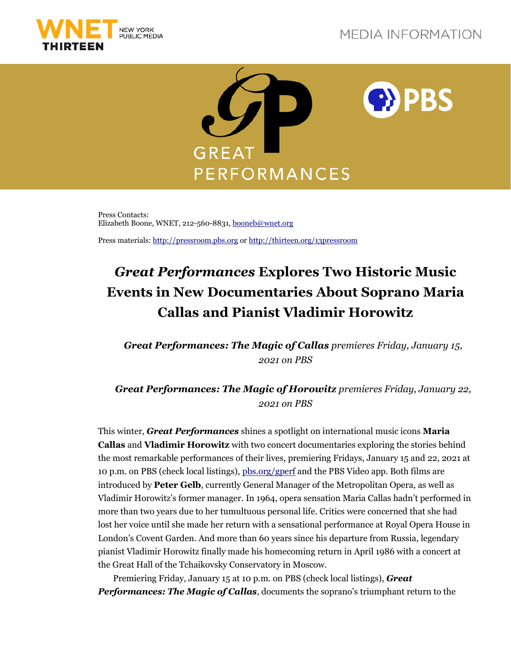



Press Contacts: Elizabeth Boone, WNET, 212-560-8831, [booneb@wnet.org](mailto:booneb@wnet.org)

Press materials: [http://pressroom.pbs.org](http://pressroom.pbs.org/) o[r http://thirteen.org/13pressroom](http://thirteen.org/13pressroom)

## *Great Performances* **Explores Two Historic Music Events in New Documentaries About Soprano Maria Callas and Pianist Vladimir Horowitz**

*Great Performances: The Magic of Callas premieres Friday, January 15, 2021 on PBS*

*Great Performances: The Magic of Horowitz premieres Friday, January 22, 2021 on PBS* 

This winter, *Great Performances* shines a spotlight on international music icons **Maria Callas** and **Vladimir Horowitz** with two concert documentaries exploring the stories behind the most remarkable performances of their lives, premiering Fridays, January 15 and 22, 2021 at 10 p.m. on PBS (check local listings), [pbs.org/gperf](http://pbs.org/gperf) and the PBS Video app. Both films are introduced by **Peter Gelb**, currently General Manager of the Metropolitan Opera, as well as Vladimir Horowitz's former manager. In 1964, opera sensation Maria Callas hadn't performed in more than two years due to her tumultuous personal life. Critics were concerned that she had lost her voice until she made her return with a sensational performance at Royal Opera House in London's Covent Garden. And more than 60 years since his departure from Russia, legendary pianist Vladimir Horowitz finally made his homecoming return in April 1986 with a concert at the Great Hall of the Tchaikovsky Conservatory in Moscow.

Premiering Friday, January 15 at 10 p.m. on PBS (check local listings), *Great Performances: The Magic of Callas*, documents the soprano's triumphant return to the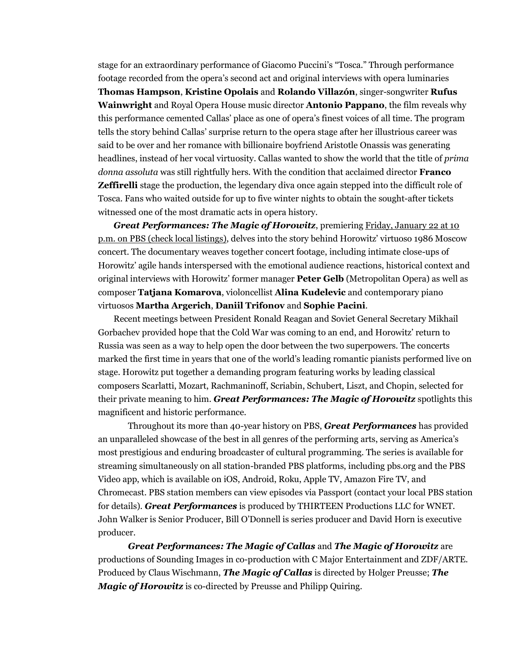stage for an extraordinary performance of Giacomo Puccini's "Tosca." Through performance footage recorded from the opera's second act and original interviews with opera luminaries **Thomas Hampson**, **Kristine Opolais** and **Rolando Villazón**, singer-songwriter **Rufus Wainwright** and Royal Opera House music director **Antonio Pappano**, the film reveals why this performance cemented Callas' place as one of opera's finest voices of all time. The program tells the story behind Callas' surprise return to the opera stage after her illustrious career was said to be over and her romance with billionaire boyfriend Aristotle Onassis was generating headlines, instead of her vocal virtuosity. Callas wanted to show the world that the title of *prima donna assoluta* was still rightfully hers. With the condition that acclaimed director **Franco Zeffirelli** stage the production, the legendary diva once again stepped into the difficult role of Tosca. Fans who waited outside for up to five winter nights to obtain the sought-after tickets witnessed one of the most dramatic acts in opera history.

*Great Performances: The Magic of Horowitz*, premiering Friday, January 22 at 10 p.m. on PBS (check local listings), delves into the story behind Horowitz' virtuoso 1986 Moscow concert. The documentary weaves together concert footage, including intimate close-ups of Horowitz' agile hands interspersed with the emotional audience reactions, historical context and original interviews with Horowitz' former manager **Peter Gelb** (Metropolitan Opera) as well as composer **Tatjana Komarova**, violoncellist **Alina Kudelevic** and contemporary piano virtuosos **Martha Argerich**, **Daniil Trifonov** and **Sophie Pacini**.

Recent meetings between President Ronald Reagan and Soviet General Secretary Mikhail Gorbachev provided hope that the Cold War was coming to an end, and Horowitz' return to Russia was seen as a way to help open the door between the two superpowers. The concerts marked the first time in years that one of the world's leading romantic pianists performed live on stage. Horowitz put together a demanding program featuring works by leading classical composers Scarlatti, Mozart, Rachmaninoff, Scriabin, Schubert, Liszt, and Chopin, selected for their private meaning to him. *Great Performances: The Magic of Horowitz* spotlights this magnificent and historic performance.

Throughout its more than 40-year history on PBS, *Great Performances* has provided an unparalleled showcase of the best in all genres of the performing arts, serving as America's most prestigious and enduring broadcaster of cultural programming. The series is available for streaming simultaneously on all station-branded PBS platforms, including pbs.org and the PBS Video app, which is available on iOS, Android, Roku, Apple TV, Amazon Fire TV, and Chromecast. PBS station members can view episodes via Passport (contact your local PBS station for details). *Great Performances* is produced by THIRTEEN Productions LLC for WNET. John Walker is Senior Producer, Bill O'Donnell is series producer and David Horn is executive producer.

*Great Performances: The Magic of Callas* and *The Magic of Horowitz* are productions of Sounding Images in co-production with C Major Entertainment and ZDF/ARTE. Produced by Claus Wischmann, *The Magic of Callas* is directed by Holger Preusse; *The Magic of Horowitz* is co-directed by Preusse and Philipp Quiring.